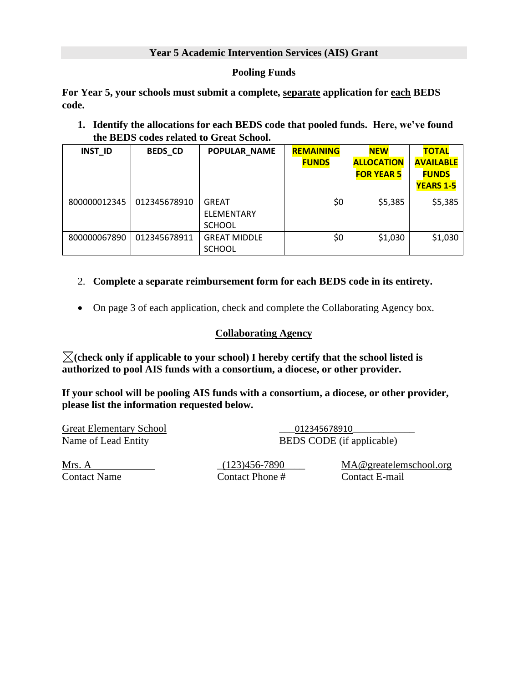## **Year 5 Academic Intervention Services (AIS) Grant**

## **Pooling Funds**

**For Year 5, your schools must submit a complete, separate application for each BEDS code.**

**1. Identify the allocations for each BEDS code that pooled funds. Here, we've found the BEDS codes related to Great School.**

| <b>INST_ID</b> | <b>BEDS CD</b> | <b>POPULAR NAME</b>                         | <b>REMAINING</b><br><b>FUNDS</b> | <b>NEW</b><br><b>ALLOCATION</b><br><b>FOR YEAR 5</b> | <b>TOTAL</b><br><b>AVAILABLE</b><br><b>FUNDS</b><br><b>YEARS 1-5</b> |
|----------------|----------------|---------------------------------------------|----------------------------------|------------------------------------------------------|----------------------------------------------------------------------|
| 800000012345   | 012345678910   | <b>GREAT</b><br>ELEMENTARY<br><b>SCHOOL</b> | \$0                              | \$5,385                                              | \$5,385                                                              |
| 800000067890   | 012345678911   | <b>GREAT MIDDLE</b><br><b>SCHOOL</b>        | \$0                              | \$1,030                                              | \$1,030                                                              |

## 2. **Complete a separate reimbursement form for each BEDS code in its entirety.**

• On page 3 of each application, check and complete the Collaborating Agency box.

## **Collaborating Agency**

**(check only if applicable to your school) I hereby certify that the school listed is authorized to pool AIS funds with a consortium, a diocese, or other provider.** 

**If your school will be pooling AIS funds with a consortium, a diocese, or other provider, please list the information requested below.** 

Great Elementary School \_\_\_012345678910\_\_\_\_\_\_\_\_\_\_\_\_

Name of Lead Entity BEDS CODE (if applicable)

Contact Name Contact Phone # Contact E-mail

Mrs. A \_(123)456-7890\_\_\_\_ MA@greatelemschool.org